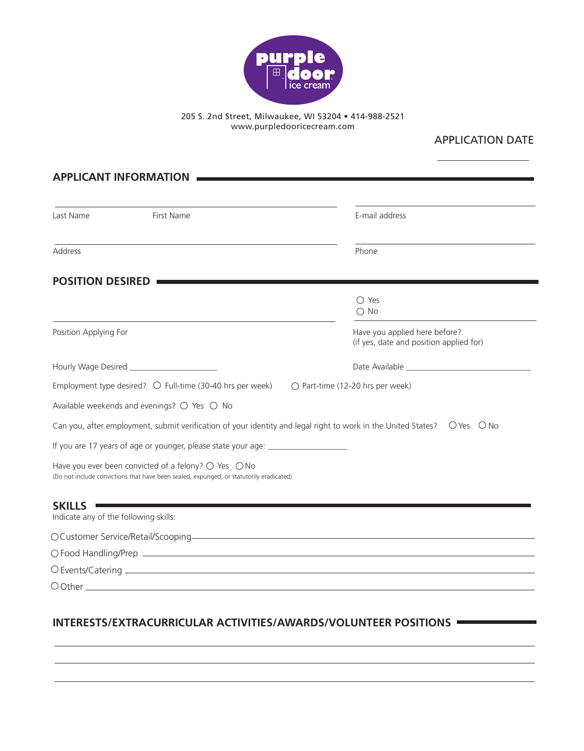

#### 205 S. 2nd Street, Milwaukee, WI 53204 • 414-988-2521 www.purpledooricecream.com

### APPLICATION DATE

| <b>APPLICANT INFORMATION</b>                                                                                                                                      |            |                                                                                                                                      |
|-------------------------------------------------------------------------------------------------------------------------------------------------------------------|------------|--------------------------------------------------------------------------------------------------------------------------------------|
| Last Name                                                                                                                                                         | First Name | E-mail address                                                                                                                       |
| Address                                                                                                                                                           |            | Phone                                                                                                                                |
| <b>POSITION DESIRED</b>                                                                                                                                           |            |                                                                                                                                      |
|                                                                                                                                                                   |            | $\bigcirc$ Yes<br>$\bigcirc$ No                                                                                                      |
| Position Applying For                                                                                                                                             |            | Have you applied here before?<br>(if yes, date and position applied for)                                                             |
| Hourly Wage Desired _______________________                                                                                                                       |            |                                                                                                                                      |
| Employment type desired? $\circ$ Full-time (30-40 hrs per week)                                                                                                   |            | ○ Part-time (12-20 hrs per week)                                                                                                     |
| Available weekends and evenings? $\bigcirc$ Yes $\bigcirc$ No                                                                                                     |            |                                                                                                                                      |
|                                                                                                                                                                   |            | Can you, after employment, submit verification of your identity and legal right to work in the United States? $\circ$ Yes $\circ$ No |
| If you are 17 years of age or younger, please state your age: __________________                                                                                  |            |                                                                                                                                      |
| Have you ever been convicted of a felony? $\bigcirc$ Yes $\bigcirc$ No<br>(Do not include convictions that have been sealed, expunged, or statutorily eradicated) |            |                                                                                                                                      |
| <b>SKILLS</b><br>Indicate any of the following skills:                                                                                                            |            |                                                                                                                                      |
|                                                                                                                                                                   |            | OCustomer Service/Retail/Scooping-                                                                                                   |
|                                                                                                                                                                   |            |                                                                                                                                      |
|                                                                                                                                                                   |            | O Events/Catering Learning Committee Committee Committee Committee Committee Committee Committee Committee Committee                 |
| $\circ$ Other $\_$                                                                                                                                                |            |                                                                                                                                      |

### **INTERESTS/EXTRACURRICULAR ACTIVITIES/AWARDS/VOLUNTEER POSITIONS**